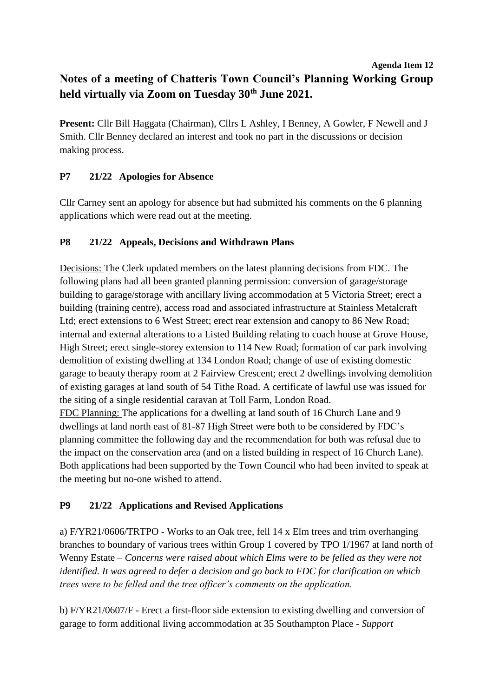### **Agenda Item 12 Notes of a meeting of Chatteris Town Council's Planning Working Group held virtually via Zoom on Tuesday 30th June 2021.**

**Present:** Cllr Bill Haggata (Chairman), Cllrs L Ashley, I Benney, A Gowler, F Newell and J Smith. Cllr Benney declared an interest and took no part in the discussions or decision making process.

## **P7 21/22 Apologies for Absence**

Cllr Carney sent an apology for absence but had submitted his comments on the 6 planning applications which were read out at the meeting.

## **P8 21/22 Appeals, Decisions and Withdrawn Plans**

Decisions: The Clerk updated members on the latest planning decisions from FDC. The following plans had all been granted planning permission: conversion of garage/storage building to garage/storage with ancillary living accommodation at 5 Victoria Street; erect a building (training centre), access road and associated infrastructure at Stainless Metalcraft Ltd; erect extensions to 6 West Street; erect rear extension and canopy to 86 New Road; internal and external alterations to a Listed Building relating to coach house at Grove House, High Street; erect single-storey extension to 114 New Road; formation of car park involving demolition of existing dwelling at 134 London Road; change of use of existing domestic garage to beauty therapy room at 2 Fairview Crescent; erect 2 dwellings involving demolition of existing garages at land south of 54 Tithe Road. A certificate of lawful use was issued for the siting of a single residential caravan at Toll Farm, London Road. FDC Planning: The applications for a dwelling at land south of 16 Church Lane and 9 dwellings at land north east of 81-87 High Street were both to be considered by FDC's

planning committee the following day and the recommendation for both was refusal due to the impact on the conservation area (and on a listed building in respect of 16 Church Lane). Both applications had been supported by the Town Council who had been invited to speak at the meeting but no-one wished to attend.

# **P9 21/22 Applications and Revised Applications**

a) F/YR21/0606/TRTPO - Works to an Oak tree, fell 14 x Elm trees and trim overhanging branches to boundary of various trees within Group 1 covered by TPO 1/1967 at land north of Wenny Estate – *Concerns were raised about which Elms were to be felled as they were not identified. It was agreed to defer a decision and go back to FDC for clarification on which trees were to be felled and the tree officer's comments on the application.*

b) F/YR21/0607/F - Erect a first-floor side extension to existing dwelling and conversion of garage to form additional living accommodation at 35 Southampton Place - *Support*